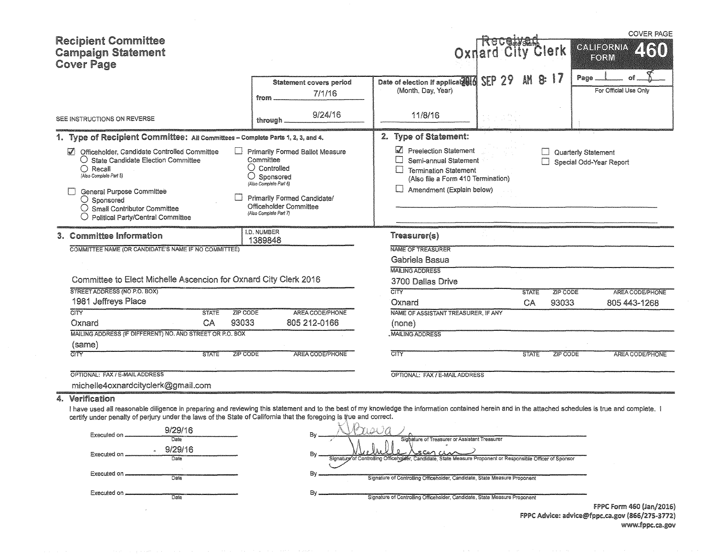| <b>Recipient Committee</b><br><b>Campaign Statement</b><br><b>Cover Page</b>                                                                                                                                                                                                                                                                                                                                                               |                                                                                                                                                                                                                | <b>Oxnard City Clerk</b>                                                                                                                                                                                                                                        |                    |                            | <b>COVER PAGE</b><br>GALIFORNIA<br>460<br>FORM |
|--------------------------------------------------------------------------------------------------------------------------------------------------------------------------------------------------------------------------------------------------------------------------------------------------------------------------------------------------------------------------------------------------------------------------------------------|----------------------------------------------------------------------------------------------------------------------------------------------------------------------------------------------------------------|-----------------------------------------------------------------------------------------------------------------------------------------------------------------------------------------------------------------------------------------------------------------|--------------------|----------------------------|------------------------------------------------|
|                                                                                                                                                                                                                                                                                                                                                                                                                                            | Statement covers period<br>7/1/16<br>from                                                                                                                                                                      | SEP29<br>Date of election if applicabell<br>(Month, Day, Year)                                                                                                                                                                                                  |                    | Page                       | For Official Use Only                          |
| SEE INSTRUCTIONS ON REVERSE                                                                                                                                                                                                                                                                                                                                                                                                                | 9/24/16<br>through.                                                                                                                                                                                            | 11/8/16                                                                                                                                                                                                                                                         |                    |                            |                                                |
| 1. Type of Recipient Committee: All Committees - Complete Parts 1, 2, 3, and 4.                                                                                                                                                                                                                                                                                                                                                            |                                                                                                                                                                                                                | 2. Type of Statement:                                                                                                                                                                                                                                           |                    |                            |                                                |
| Officeholder, Candidate Controlled Committee<br>$\mathcal{U}$<br>○ State Candidate Election Committee<br>$\bigcirc$ Recall<br>(Also Complefe Part 5)<br>General Purpose Committee<br>$\bigcirc$ Sponsored<br>$\bigcirc$ Small Contributor Committee<br>$\bigcirc$ Political Party/Central Committee                                                                                                                                        | <b>Primarily Formed Ballot Measure</b><br>Committee<br>$\cup$ Controlled<br>O<br>Sponsored<br>(Also Complete Part 6)<br>Primarily Formed Candidate/<br><b>Officeholder Committee</b><br>(Also Complete Part 7) | Preelection Statement<br>∐<br>Semi-annual Statement<br>H<br><b>Termination Statement</b><br>(Also file a Form 410 Termination)<br>⊔<br>Amendment (Explain below)                                                                                                |                    | <b>Quarterly Statement</b> | Special Odd-Year Report                        |
| 3. Committee Information                                                                                                                                                                                                                                                                                                                                                                                                                   | <b>I.D. NUMBER</b><br>1389848                                                                                                                                                                                  | Treasurer(s)                                                                                                                                                                                                                                                    |                    |                            |                                                |
| COMMITTEE NAME (OR CANDIDATE'S NAME IF NO COMMITTEE)<br>Committee to Elect Michelle Ascencion for Oxnard City Clerk 2016<br>STREET ADDRESS (NO P.O. BOX)<br>1981 Jeffreys Place                                                                                                                                                                                                                                                            |                                                                                                                                                                                                                | <b>NAME OF TREASURER</b><br>Gabriela Basua<br><b>MAILING ADDRESS</b><br>3700 Dallas Drive<br>$\overline{\text{CITY}}$<br>Oxnard                                                                                                                                 | <b>STATE</b><br>CA | ZIP CODE<br>93033          | <b>AREA CODE/PHONE</b><br>805 443-1268         |
| $\overline{\text{CITY}}$<br><b>ZIP CODE</b><br><b>STATE</b><br>93033                                                                                                                                                                                                                                                                                                                                                                       | AREA CODE/PHONE                                                                                                                                                                                                | NAME OF ASSISTANT TREASURER, IF ANY                                                                                                                                                                                                                             |                    |                            |                                                |
| CA<br>Oxnard<br>MAILING ADDRESS (IF DIFFERENT) NO. AND STREET OR P.O. BOX                                                                                                                                                                                                                                                                                                                                                                  | 805 212-0166                                                                                                                                                                                                   | (none)<br><b>MAILING ADDRESS</b>                                                                                                                                                                                                                                |                    |                            |                                                |
| (same)                                                                                                                                                                                                                                                                                                                                                                                                                                     |                                                                                                                                                                                                                |                                                                                                                                                                                                                                                                 |                    |                            |                                                |
| टानर<br><b>ZIP CODE</b><br><b>STATE</b>                                                                                                                                                                                                                                                                                                                                                                                                    | AREA CODE/PHONE                                                                                                                                                                                                | $\overline{\text{CIV}}$                                                                                                                                                                                                                                         | <b>STATE</b>       | ZIP CODE                   | <b>AREA CODE/PHONE</b>                         |
| OPTIONAL: FAX / E-MAIL ADDRESS                                                                                                                                                                                                                                                                                                                                                                                                             |                                                                                                                                                                                                                | OPTIONAL: FAX / E-MAIL ADDRESS                                                                                                                                                                                                                                  |                    |                            |                                                |
| michelle4oxnardcityclerk@gmail.com                                                                                                                                                                                                                                                                                                                                                                                                         |                                                                                                                                                                                                                |                                                                                                                                                                                                                                                                 |                    |                            |                                                |
| 4. Verification<br>I have used all reasonable diligence in preparing and reviewing this statement and to the best of my knowledge the information contained herein and in the attached schedules is true and complete. I<br>certify under penalty of perjury under the laws of the State of California that the foregoing is true and correct.<br>9/29/16<br>Executed on<br>Date<br>9/29/16<br>Executed on<br>Date<br>Executed on.<br>Date | By<br>By.                                                                                                                                                                                                      | Prisia 1<br>Sighature of Treasurer or Assistant Treasurer<br>200 au<br>Signature of Controlling Officeholeer, Candidate, State Measure Proponent or Responsible Officer of Sponsor<br>Signature of Controlling Officeholder, Candidate, State Measure Proponent |                    |                            |                                                |
| Executed on,<br>Date                                                                                                                                                                                                                                                                                                                                                                                                                       | By.                                                                                                                                                                                                            | Signature of Controlling Officeholder, Candidate, State Measure Proponent                                                                                                                                                                                       |                    |                            |                                                |

 $\sim 10^{-1}$ 

FPPC Form 460 (Jan/2016) FPPC Advice: advice@fppc.ca.gov (866/275-3772) www.fppc.ca.gov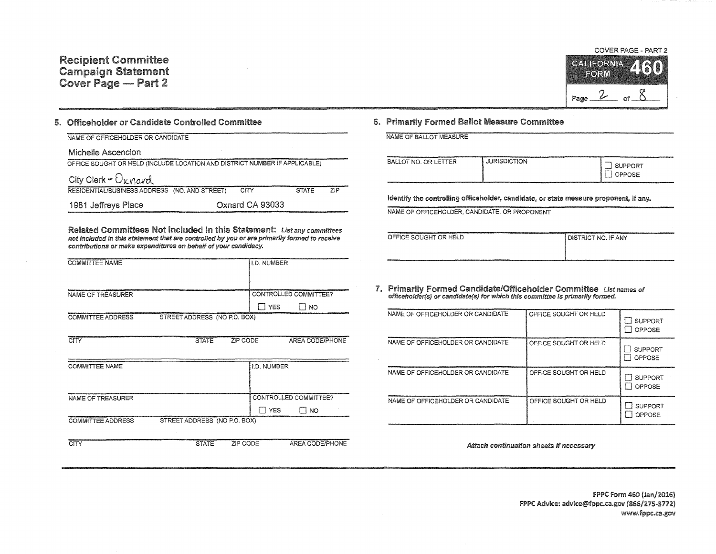

## 5. Officeholder or Candidate Controlled Committee

| NAME OF OFFICEHOLDER OR CANDIDATE                                          |                 |                     |  |
|----------------------------------------------------------------------------|-----------------|---------------------|--|
| Michelle Ascencion                                                         |                 |                     |  |
| OFFICE SOUGHT OR HELD (INCLUDE LOCATION AND DISTRICT NUMBER IF APPLICABLE) |                 |                     |  |
| City Clerk - $O_{\kappa \text{mod}}$                                       |                 |                     |  |
| (NO. AND STREET)<br>RESIDENTIAL/BUSINESS ADDRESS                           | <b>CITY</b>     | 71P<br><b>STATE</b> |  |
| 1981 Jeffreys Place                                                        | Oxnard CA 93033 |                     |  |

Related Committees Not Included in this Statement: List any committees not included in this statement that are controlled by you or are primarily formed to receive contributions or make expenditures on behalf of your candidacy.

| <b>COMMITTEE NAME</b>    |                              |          | <b>I.D. NUMBER</b>         |                       |
|--------------------------|------------------------------|----------|----------------------------|-----------------------|
|                          |                              |          |                            |                       |
| NAME OF TREASURER        |                              |          |                            | CONTROLLED COMMITTEE? |
|                          |                              |          | <b>YES</b><br>$\mathbf{1}$ | T NO                  |
| <b>COMMITTEE ADDRESS</b> | STREET ADDRESS (NO P.O. BOX) |          |                            |                       |
|                          |                              |          |                            |                       |
| CITY                     | <b>STATE</b>                 | ZIP CODE |                            | AREA CODE/PHONE       |
|                          |                              |          |                            |                       |
| <b>COMMITTEE NAME</b>    |                              |          | <b>I.D. NUMBER</b>         |                       |
|                          |                              |          |                            |                       |
|                          |                              |          |                            |                       |
| NAME OF TREASURER        |                              |          |                            | CONTROLLED COMMITTEE? |

## $\Box$  YES  $\Box$  NO COMMITTEE ADDRESS STREET ADDRESS (NO P.O. BOX)

CITY STATE ZIP CODE AREA CODE/PHONE

## 6. Primarily Formed Ballot Measure Committee

|  |  | A FULL AND CALCULATION CONTINUES INTO A VALUE OF A STATE OF THE CONTINUES OF A STATE OF A STATE OF A STATE OF A STATE OF A STATE OF A STATE OF A STATE OF A STATE OF A STATE OF A STATE OF A STATE OF A STATE OF A STATE OF A |  |
|--|--|-------------------------------------------------------------------------------------------------------------------------------------------------------------------------------------------------------------------------------|--|
|  |  |                                                                                                                                                                                                                               |  |
|  |  | NAME OF BALLOT MEASURE                                                                                                                                                                                                        |  |
|  |  |                                                                                                                                                                                                                               |  |

| <b>DPPOSE</b> |                      |                     | ************************ |
|---------------|----------------------|---------------------|--------------------------|
|               | BALLOT NO. OR LETTER | <b>JURISDICTION</b> | SUPPORT                  |

Identify the controlling officeholder, candidate, or state measure proponent, if any.

NAME OF OFFICEHOLDER, CANDIDATE, OR PROPONENT

| 101000000300000000000 |                                                       |
|-----------------------|-------------------------------------------------------|
| OFFICE SOUGHT OR HELD | I DISTRICT NO. IF ANY                                 |
|                       |                                                       |
|                       | Second the contemporary of the Character Contemporary |

7. Primarily Formed Candidate/Officeholder Committee List names of officeholder(s) or candidate(s) for which this committee is primarily formed.

| NAME OF OFFICEHOLDER OR CANDIDATE | OFFICE SOUGHT OR HELD | <b>SUPPORT</b><br>OPPOSE |
|-----------------------------------|-----------------------|--------------------------|
| NAME OF OFFICEHOLDER OR CANDIDATE | OFFICE SOUGHT OR HELD | <b>SUPPORT</b><br>OPPOSE |
| NAME OF OFFICEHOLDER OR CANDIDATE | OFFICE SOUGHT OR HELD | <b>SUPPORT</b><br>OPPOSE |
| NAME OF OFFICEHOLDER OR CANDIDATE | OFFICE SOUGHT OR HELD | SUPPORT<br>OPPOSE        |

Attach continuation sheets if necessary

FPPC Form 460 (Jan/20:16) FPPC Advice: advice@fppc.ca.gov (866/275-3772) www.fppc.ca.gov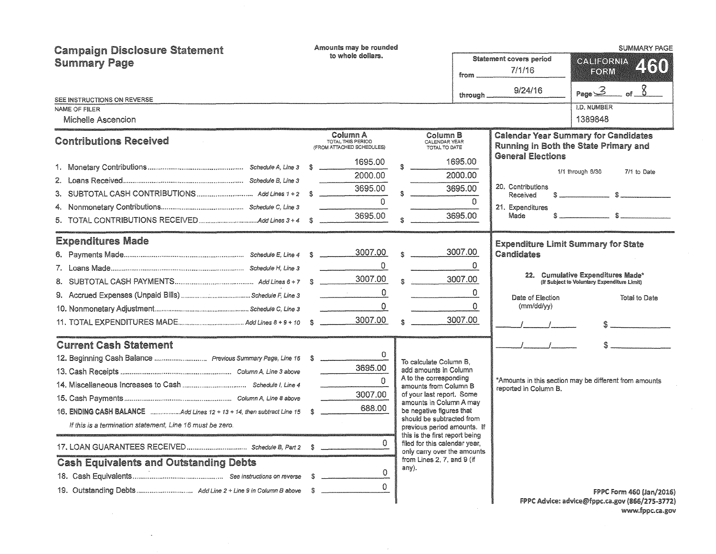| <b>Campaign Disclosure Statement</b>                                     |  | Amounts may be rounded<br>to whole dollars.                |                                                                                            |                                                |                               | <b>SUMMARY PAGE</b>                                                                  |
|--------------------------------------------------------------------------|--|------------------------------------------------------------|--------------------------------------------------------------------------------------------|------------------------------------------------|-------------------------------|--------------------------------------------------------------------------------------|
| <b>Summary Page</b>                                                      |  |                                                            |                                                                                            | Statement covers period<br>7/1/16<br>from ____ |                               | CALIFORNIA<br>Z (30)<br>FORM                                                         |
|                                                                          |  |                                                            |                                                                                            |                                                | 9/24/16                       | of $8$<br>Page 3                                                                     |
| SEE INSTRUCTIONS ON REVERSE                                              |  |                                                            |                                                                                            | through _                                      |                               |                                                                                      |
| NAME OF FILER                                                            |  |                                                            |                                                                                            |                                                |                               | <b>I.D. NUMBER</b>                                                                   |
| Michelle Ascencion                                                       |  |                                                            |                                                                                            |                                                |                               | 1389848                                                                              |
| <b>Contributions Received</b>                                            |  | Column A<br>TOTAL THIS PERIOD<br>(FROM ATTACHED SCHEDULES) | Column B<br>CALENDAR YEAR<br>TOTAL TO DATE                                                 |                                                |                               | <b>Calendar Year Summary for Candidates</b><br>Running in Both the State Primary and |
|                                                                          |  | 1695.00                                                    |                                                                                            | 1695.00                                        | <b>General Elections</b>      | 1/1 through 6/30<br>7/1 to Date                                                      |
|                                                                          |  | 2000.00                                                    |                                                                                            | 2000.00                                        |                               |                                                                                      |
|                                                                          |  | 3695.00                                                    |                                                                                            | 3695.00                                        | 20. Contributions<br>Received |                                                                                      |
|                                                                          |  | $\Omega$                                                   |                                                                                            | $\Omega$                                       | 21. Expenditures              |                                                                                      |
|                                                                          |  | 3695.00                                                    |                                                                                            | 3695.00                                        | Made                          |                                                                                      |
| <b>Expenditures Made</b>                                                 |  |                                                            |                                                                                            |                                                |                               | <b>Expenditure Limit Summary for State</b>                                           |
|                                                                          |  |                                                            | $\otimes$ and $\otimes$                                                                    | 3007.00                                        | Candidates                    |                                                                                      |
|                                                                          |  | $\Omega$                                                   |                                                                                            | $\Omega$                                       |                               |                                                                                      |
|                                                                          |  |                                                            | $\frac{3007.00}{ }$                                                                        |                                                |                               | 22. Cumulative Expenditures Made*<br>(If Subject to Voluntary Expenditure Limit)     |
|                                                                          |  | $\mathbf{0}$                                               |                                                                                            | $\mathbf{0}$                                   | Date of Election              | Total to Date                                                                        |
|                                                                          |  | $\mathbf{O}$                                               |                                                                                            | $\mathbf{O}$                                   | (mm/dd/yy)                    |                                                                                      |
|                                                                          |  |                                                            | $\frac{\text{3007.00}}{1000}$                                                              |                                                |                               | $\sim$                                                                               |
| <b>Current Cash Statement</b>                                            |  |                                                            |                                                                                            |                                                | $I = I$                       |                                                                                      |
|                                                                          |  | $\Omega$                                                   | To calculate Column B,                                                                     |                                                |                               |                                                                                      |
|                                                                          |  | 3695.00                                                    | add amounts in Column                                                                      |                                                |                               |                                                                                      |
|                                                                          |  | $\Omega$                                                   | A to the corresponding<br>amounts from Column B                                            |                                                | reported in Column B.         | *Amounts in this section may be different from amounts                               |
|                                                                          |  | 3007.00                                                    | of your last report. Some<br>amounts in Column A may                                       |                                                |                               |                                                                                      |
| 16. ENDING CASH BALANCE Add Lines 12 + 13 + 14, then subtract Line 15 \$ |  | 688.00                                                     | be negative figures that                                                                   |                                                |                               |                                                                                      |
| If this is a termination statement, Line 16 must be zero.                |  |                                                            | should be subtracted from<br>previous period amounts. If<br>this is the first report being |                                                |                               |                                                                                      |
|                                                                          |  | $\Omega$                                                   | filed for this calendar year,<br>only carry over the amounts                               |                                                |                               |                                                                                      |
| <b>Cash Equivalents and Outstanding Debts</b>                            |  |                                                            | from Lines 2, 7, and 9 (if<br>any).                                                        |                                                |                               |                                                                                      |
|                                                                          |  | $\mathbf 0$                                                |                                                                                            |                                                |                               |                                                                                      |
|                                                                          |  | $\Omega$                                                   |                                                                                            |                                                |                               | FPPC Form 460 (Jan/2016)                                                             |
|                                                                          |  |                                                            |                                                                                            |                                                |                               | FPPC Advice: advice@fppc.ca.gov (866/275-3772)                                       |

 $\sim$ 

www.fppc.ca.gov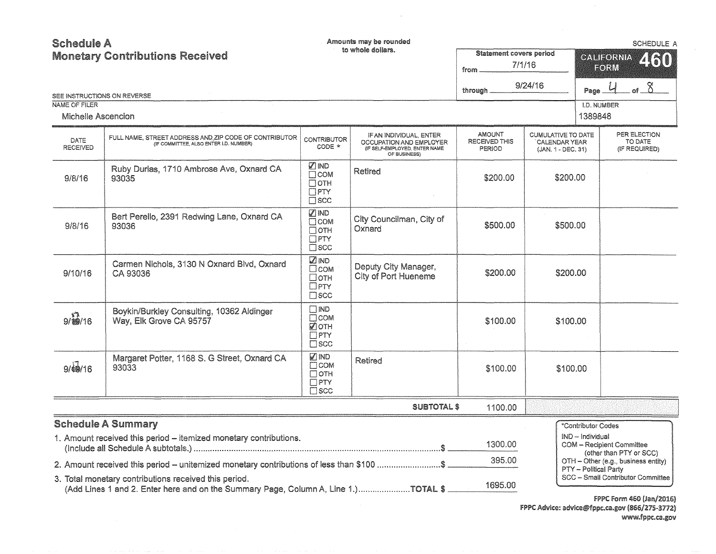**Schedule A** Amounts may be rounded SCHEDULE A to whole dollars. Statement covers period **Monetary Contributions Received** GANIEORNIA ZRT from 7/1/16 **EORM** through 9/24/16 Page  $4$  of  $8$ SEE INSTRUCTIONS ON REVERSE NAME OF FILER l.D. NUMBER 1389848 Michelle Ascencion AMOUNT CUMULATIVE TO DATE PER ELECTION IF AN INDIVIDUAL, ENTER FULL NAME, STREET ADDRESS AND ZIP CODE OF CONTRIBUTOR CONTRIBUTOR (IF COMMITTEE, ALSO ENTER I.D. NUMBER) DATE RECEIVED THIS TO DATE OCCUPATION AND EMPLOYER . CALENDAR YEAR (IF COMMITTEE, ALSO ENTER I.D. NUMBER) RECEIVED (IF SELF-EMPLOYED, ENTER NAME PERIOD (JAN. 1 • DEC. 31) (IF REQUIRED) OF BUSINESS) **V**IND Ruby Durias, 1710 Ambrose Ave, Oxnard CA Retired **COM** \$200.00 9/8/16 93035 \$200.00  $\Box$ OTH  $\Box$ PTY  $\Box$ scc **VIND** Bert Perello, 2391 Redwing Lane, Oxnard CA City Councilman. City of  $\overline{\Box}$ COM \$500.00 \$500.00 9/8/16 93036 Oxnard  $\Box$ OTH  $\Box$ PTY  $\overline{\Box}$ scc **D**IND Carmen Nichols, 3130 N Oxnard Blvd, Oxnard Deputy City Manager,  $\Box$ COM \$200.00 9/10/16 CA 93036 \$200.00 City of Port Hueneme  $\Box$  OTH  $EPTY$  $\square$  scc IND Boykin/Burkley Consulting, 10362 Aldinger  $9/\sqrt[12]{16}$  $\overline{\Box}$ COM Way, Elk Grove CA 95757 \$100.00 \$100.00  $\overline{M}$ OTH  $\Box$ PTY  $\square$ scc IND Margaret Potter, 1168 S. G Street, Oxnard CA Retired **T**COM  $9/60/16$ 93033 \$100.00 \$100.00  $\Box$ OTH  $\Box$ PTY  $\Box$ scc SUBTOTAL\$ 1100.00 **Schedule A Summary** \*Contributor Codes 1. Amount received this period – itemized monetary contributions.<br>
(Individual Report in School of Assistant Committee) all Schedule A 1300.00 COM - Recipient Commi!tee (other than PTY or SCC) 2. Amount received this - unitemized monetary contributions of less than 00 ........................... \$ 395.oo  $OTH - Other$  (e.g., business entity) PTY - Political Party SCC - Small Contributor Committee 3. Total monetary contributions received this period. licial increasity commissions received and period.<br>(Add Lines 1 and 2. Enter here and on the Summary Page, Column A, Line 1.) .......................TOTAL \$

> f?PC form 460 (Jan/2016) FPPC Advice: advice@fppc.ca.gov (866/275-3772) www.fppc.ca.gov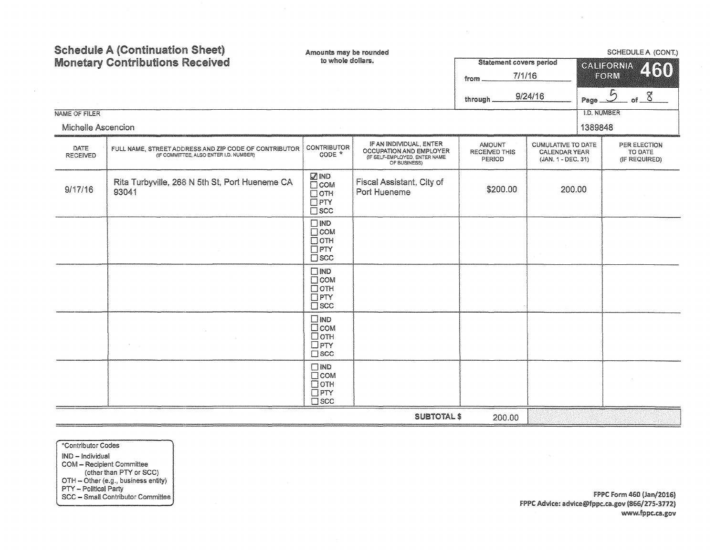| NAME OF FILER<br>Michelle Ascencion | <b>Schedule A (Continuation Sheet)</b><br><b>Monetary Contributions Received</b>                | Amounts may be rounded<br>to whole dollars.                              |                                                                                                     | <b>Statement covers period</b><br>7/1/16<br>from<br>through | 9/24/16                                                                 | Page 5<br><b>I.D. NUMBER</b><br>1389848 | SCHEDULE A (CONT.)<br><b>CALIFORNIA</b><br>460<br>FORM<br>of $8$ |
|-------------------------------------|-------------------------------------------------------------------------------------------------|--------------------------------------------------------------------------|-----------------------------------------------------------------------------------------------------|-------------------------------------------------------------|-------------------------------------------------------------------------|-----------------------------------------|------------------------------------------------------------------|
| DATE<br><b>RECEIVED</b>             | FULL NAME, STREET ADDRESS AND ZIP CODE OF CONTRIBUTOR<br>(IF COMMITTEE, ALSO ENTER I.D. NUMBER) | <b>CONTRIBUTOR</b><br>CODE *                                             | IF AN INDIVIDUAL, ENTER<br>OCCUPATION AND EMPLOYER<br>(IF SELF-EMPLOYED, ENTER NAME<br>OF BUSINESS) | <b>AMOUNT</b><br><b>RECEIVED THIS</b><br>PERIOD             | <b>CUMULATIVE TO DATE</b><br><b>CALENDAR YEAR</b><br>(JAN. 1 - DEC. 31) |                                         | PER ELECTION<br>TO DATE<br>(IF REQUIRED)                         |
| 9/17/16                             | Rita Turbyville, 268 N 5th St, Port Hueneme CA<br>93041                                         | <b>ZIND</b><br>$\Box$ COM<br>$\Box$ OTH<br>$\Box$ PTY<br>$\square$ scc   | Fiscal Assistant, City of<br>Port Hueneme                                                           | \$200.00                                                    | 200.00                                                                  |                                         |                                                                  |
|                                     |                                                                                                 | $\Box$ IND<br>$\Box$ COM<br>$\Box$ OTH<br>$\Box$ PTY<br>$\square$ scc    |                                                                                                     |                                                             |                                                                         |                                         |                                                                  |
|                                     |                                                                                                 | $\Box$ IND<br>$\square$ COM<br>$\Box$ OTH<br>$\Box$ PTY<br>$\square$ scc |                                                                                                     |                                                             |                                                                         |                                         |                                                                  |
|                                     |                                                                                                 | $\square$ IND<br>$\Box$ COM<br>□отн<br>$\Box$ PTY<br>$\square$ scc       |                                                                                                     |                                                             |                                                                         |                                         |                                                                  |
|                                     |                                                                                                 | $\square$ IND<br>$\Box$ COM<br>□отн<br>$\Box$ PTY<br>$\square$ scc       |                                                                                                     |                                                             |                                                                         |                                         |                                                                  |
|                                     |                                                                                                 |                                                                          | <b>SUBTOTAL \$</b>                                                                                  | 200.00                                                      |                                                                         |                                         |                                                                  |

\*Contributor Codes IND - Individual NVD - Recipient Committee<br>
(other than PTY or SCC)<br>
OTH - Other (e.g., business entity)<br>
PTY - Political Party<br>
SCC - Small Contributor Committee

 $\sim$ 

FPPC Form 460 (Jan/2016) FPPC Advice: advice@fppc.ca.gov (866/275-3772) www.fppc.ca.gov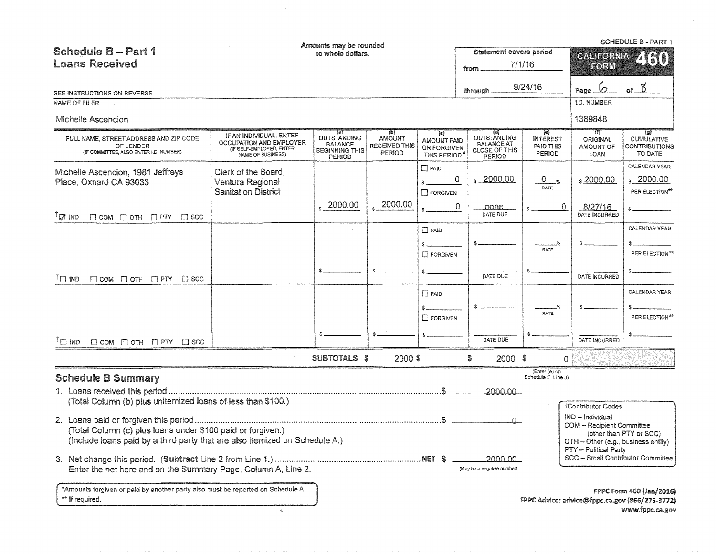| <b>Schedule B - Part 1</b><br><b>Loans Received</b>                                                                                                                                                                                                                                                      |                                                                                                     | Amounts may be rounded<br><b>Statement covers period</b><br>to whole dollars.<br>7/1/16<br>from |                                                            |                                                                            |                                                                                         |                                                  | <b>SCHEDULE B - PART 1</b><br>CALIFORNIA<br>2130<br>FORM                                                                                      |                                                                                               |  |
|----------------------------------------------------------------------------------------------------------------------------------------------------------------------------------------------------------------------------------------------------------------------------------------------------------|-----------------------------------------------------------------------------------------------------|-------------------------------------------------------------------------------------------------|------------------------------------------------------------|----------------------------------------------------------------------------|-----------------------------------------------------------------------------------------|--------------------------------------------------|-----------------------------------------------------------------------------------------------------------------------------------------------|-----------------------------------------------------------------------------------------------|--|
| SEE INSTRUCTIONS ON REVERSE                                                                                                                                                                                                                                                                              |                                                                                                     |                                                                                                 |                                                            |                                                                            | through.                                                                                | 9/24/16                                          | Ø<br>Page                                                                                                                                     | $8^{\circ}$                                                                                   |  |
| NAME OF FILER                                                                                                                                                                                                                                                                                            |                                                                                                     |                                                                                                 |                                                            |                                                                            |                                                                                         |                                                  | <b>I.D. NUMBER</b>                                                                                                                            |                                                                                               |  |
| Michelle Ascencion                                                                                                                                                                                                                                                                                       |                                                                                                     |                                                                                                 |                                                            |                                                                            |                                                                                         |                                                  | 1389848                                                                                                                                       |                                                                                               |  |
| FULL NAME, STREET ADDRESS AND ZIP CODE<br>OF LENDER<br>(IF COMMITTEE, ALSO ENTER I.D. NUMBER)                                                                                                                                                                                                            | IF AN INDIVIDUAL, ENTER<br>OCCUPATION AND EMPLOYER<br>(IF SELF-EMPLOYED, ENTER<br>NAME OF BUSINESS) | $\left\{ a\right\}$<br><b>OUTSTANDING</b><br><b>BALANCE</b><br><b>BEGINNING THIS</b><br>PERIOD  | $\{b\}$<br><b>AMOUNT</b><br><b>RECEIVED THIS</b><br>PERIOD | (c)<br>AMOUNT PAID<br>OR FORGIVEN<br><b>THIS PERIOD</b>                    | 70)<br><b>OUTSTANDING</b><br><b>BALANCE AT</b><br><b>CLOSE OF THIS</b><br><b>PERIOD</b> | (e)<br><b>INTEREST</b><br>PAID THIS<br>PERIOD    | -61)<br><b>ORIGINAL</b><br>AMOUNT OF<br>LOAN                                                                                                  | $\{g\}$<br><b>CUMULATIVE</b><br>CONTRIBUTIONS<br>TO DATE                                      |  |
| Michelle Ascencion, 1981 Jeffreys<br>Place, Oxnard CA 93033                                                                                                                                                                                                                                              | Clerk of the Board,<br>Ventura Regional<br><b>Sanitation District</b>                               | 2000.00                                                                                         | 2000.00                                                    | $\Box$ PAID<br>$\Box$ FORGIVEN                                             | $\frac{2000.00}{x}$<br>0<br>0<br>none                                                   | $0_{\tiny\color{red}80}$<br>RATE<br>$\mathbf{0}$ | $\frac{2000.00}{x}$<br>8/27/16                                                                                                                | CALENDAR YEAR<br>$\frac{2000.00}{x}$<br>PER ELECTION <sup>#*</sup>                            |  |
| $^{\intercal}$ י ואס<br>$\Box$ COM $\Box$ OTH $\Box$ PTY $\Box$ SCC                                                                                                                                                                                                                                      |                                                                                                     |                                                                                                 |                                                            |                                                                            | DATE DUE                                                                                |                                                  | DATE INCURRED                                                                                                                                 |                                                                                               |  |
| $T \square$ ind<br>$\Box$ COM $\Box$ OTH $\Box$ PTY $\Box$ SCC<br>$\bigcap$ IND<br>$\Box$ COM $\Box$ OTH $\Box$ PTY $\Box$ SCC                                                                                                                                                                           |                                                                                                     |                                                                                                 |                                                            | $\Box$ PAID<br><b>IT FORGIVEN</b><br>$\Box$ PAID<br>\$.<br>$\Box$ FORGIVEN | DATE DUE<br>DATE DUE                                                                    | RATE<br><b>RATE</b>                              | DATE INCURRED<br>DATE INCURRED                                                                                                                | CALENDAR YEAR<br>PER ELECTION**<br><b>CALENDAR YEAR</b><br>PER ELECTION**                     |  |
|                                                                                                                                                                                                                                                                                                          |                                                                                                     | SUBTOTALS \$                                                                                    | 2000\$                                                     |                                                                            | $2000$ \$<br>S                                                                          | $\Omega$                                         |                                                                                                                                               |                                                                                               |  |
| <b>Schedule B Summary</b><br>(Total Column (b) plus unitemized loans of less than \$100.)<br>(Total Column (c) plus loans under \$100 paid or forgiven.)<br>(Include loans paid by a third party that are also itemized on Schedule A.)<br>Enter the net here and on the Summary Page, Column A, Line 2. |                                                                                                     |                                                                                                 |                                                            |                                                                            | 2000.00<br>$\Omega$ .<br>2000.00<br>(May be a negative number)                          | (Enter (e) on<br>Schedule E, Line 3)             | †Contributor Codes<br>$IND$ – Individual<br><b>COM - Recipient Committee</b><br>OTH - Other (e.g., business entity)<br>PTY -- Political Party | (other than PTY or SCC)<br>SCC - Small Contributor Committee                                  |  |
| *Amounts forgiven or paid by another party also must be reported on Schedule A.<br>** If required.                                                                                                                                                                                                       | $\mathfrak{B}$                                                                                      |                                                                                                 |                                                            |                                                                            |                                                                                         |                                                  |                                                                                                                                               | FPPC Form 460 (Jan/2016)<br>FPPC Advice: advice@fppc.ca.gov (866/275-3772)<br>www.fppc.ca.gov |  |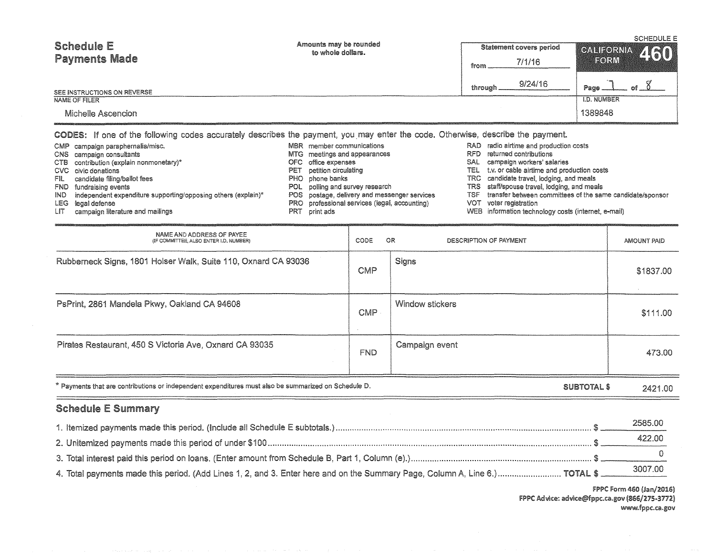| <b>Schedule E</b><br><b>Payments Made</b> | Amounts may be rounded<br>to whole dollars. | Statement covers period | <b>SCHEDULE E</b><br>CALIFORNIA 460 |  |  |
|-------------------------------------------|---------------------------------------------|-------------------------|-------------------------------------|--|--|
|                                           |                                             | 7/1/16<br>from          |                                     |  |  |
| SEE INSTRUCTIONS ON REVERSE               |                                             | 9/24/16<br>through      | Page                                |  |  |
| NAME OF FILER                             |                                             |                         | <b>I.D. NUMBER</b>                  |  |  |
| Michelle Ascencion                        |                                             |                         | 1389848                             |  |  |

CODES: If one of the following codes accurately describes the payment, you may enter the code. Otherwise, describe the payment.

- CMP campaign paraphernalia/misc. <br>
CMS campaign consultants CMS campaign consultants CMS campaign consultants consultants and production costs and appearances CMS campaign consultants CMS campaign consultants CTB (explain nonmonetary)\* OFC office expenses SAL workers' salaries CVC civic donations **CVC** civic donations **PET** petition circulating **PET petition circulating** TEL t.v. or cable airtime and production costs **PHO** phone banks **PHO** phone banks **PHO** phone banks **PHO** phone banks **PHO** p FIL candidate filing/ballot fees external to the SHO phone banks PHO phone banks TRC candidate travel, lodging, and meals<br>POL polling and survey research TRS staff/spouse travel, lodging, and meal
- 
- IND independent expenditure supporting/opposing others (explain)\* POS postage, delivery and messenger services TSF transfer between committees of the same candidate of the same candidate of the same candidate of the same c
- 
- LIT campaign literature and mailings
- 
- 
- 
- 
- 
- 
- 
- PRO professional services (legal, accounting) VOT voter registration<br>PRT print ads WEB information technology costs (internet, e-mail)
	-
- 
- 
- MTG meetings and appearances and appearances RFD returned contributions of the expenses of the SAL campaign workers' salaries
	-
	-
	-
- POL polling and survey research TRS staff/spouse travel, lodging, and meals<br>POS postage, delivery and messenger services TSF transfer between committees of the same candidate/sponsor
	-
	-

| <b>Schedule E Summary</b>                                                                            |            |                              |             |
|------------------------------------------------------------------------------------------------------|------------|------------------------------|-------------|
| * Payments that are contributions or independent expenditures must also be summarized on Schedule D. |            | SUBTOTAL \$                  | 2421.00     |
| Pirates Restaurant, 450 S Victoria Ave, Oxnard CA 93035                                              | FND.       | Campaign event               | 473.00      |
| PsPrint, 2861 Mandela Pkwy, Oakland CA 94608                                                         | CMP        | Window stickers              | \$111.00    |
| Rubberneck Signs, 1801 Holser Walk, Suite 110, Oxnard CA 93036                                       | <b>CMP</b> | Signs                        | \$1837.00   |
| NAME AND ADDRESS OF PAYEE<br>(IF COMMITTEE, ALSO ENTER I.D. NUMBER)                                  | CODE       | OR<br>DESCRIPTION OF PAYMENT | AMOUNT PAID |

|                                                                                                                             | 2585.00 |
|-----------------------------------------------------------------------------------------------------------------------------|---------|
|                                                                                                                             | 422.00  |
|                                                                                                                             |         |
| 4. Total payments made this period. (Add Lines 1, 2, and 3. Enter here and on the Summary Page, Column A, Line 6.) TOTAL \$ | 3007.00 |

FPPC Form 460 (Jan/2016) FPPC Advice: advice@fppc.ca.gov (866/275-3772) www.fppc.ca.gov